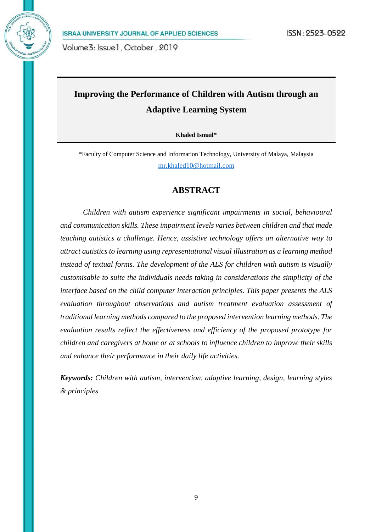# **Improving the Performance of Children with Autism through an Adaptive Learning System**

**Khaled Ismail\***

\*Faculty of Computer Science and Information Technology, University of Malaya, Malaysia [mr.khaled10@hotmail.com](mailto:mr.khaled10@hotmail.com)

# **ABSTRACT**

 *Children with autism experience significant impairments in social, behavioural and communication skills. These impairment levels varies between children and that made teaching autistics a challenge. Hence, assistive technology offers an alternative way to attract autistics to learning using representational visual illustration as a learning method instead of textual forms. The development of the ALS for children with autism is visually customisable to suite the individuals needs taking in considerations the simplicity of the interface based on the child computer interaction principles. This paper presents the ALS evaluation throughout observations and autism treatment evaluation assessment of traditional learning methods compared to the proposed intervention learning methods. The evaluation results reflect the effectiveness and efficiency of the proposed prototype for children and caregivers at home or at schools to influence children to improve their skills and enhance their performance in their daily life activities.*

*Keywords: Children with autism, intervention, adaptive learning, design, learning styles & principles*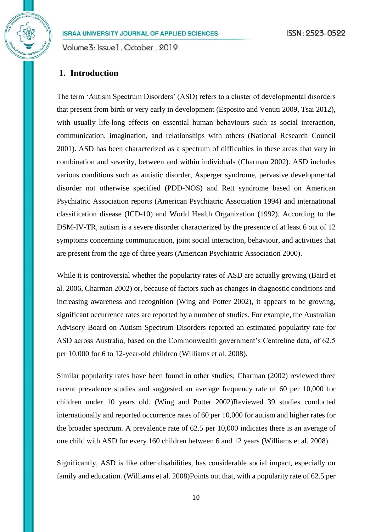Volume3: Issue1, October, 2019

# **1. Introduction**

The term 'Autism Spectrum Disorders' (ASD) refers to a cluster of developmental disorders that present from birth or very early in development (Esposito and Venuti 2009, Tsai 2012), with usually life-long effects on essential human behaviours such as social interaction, communication, imagination, and relationships with others (National Research Council 2001). ASD has been characterized as a spectrum of difficulties in these areas that vary in combination and severity, between and within individuals (Charman 2002). ASD includes various conditions such as autistic disorder, Asperger syndrome, pervasive developmental disorder not otherwise specified (PDD-NOS) and Rett syndrome based on American Psychiatric Association reports (American Psychiatric Association 1994) and international classification disease (ICD-10) and World Health Organization (1992). According to the DSM-IV-TR, autism is a severe disorder characterized by the presence of at least 6 out of 12 symptoms concerning communication, joint social interaction, behaviour, and activities that are present from the age of three years (American Psychiatric Association 2000).

While it is controversial whether the popularity rates of ASD are actually growing (Baird et al. 2006, Charman 2002) or, because of factors such as changes in diagnostic conditions and increasing awareness and recognition (Wing and Potter 2002), it appears to be growing, significant occurrence rates are reported by a number of studies. For example, the Australian Advisory Board on Autism Spectrum Disorders reported an estimated popularity rate for ASD across Australia, based on the Commonwealth government's Centreline data, of 62.5 per 10,000 for 6 to 12-year-old children (Williams et al. 2008).

Similar popularity rates have been found in other studies; Charman (2002) reviewed three recent prevalence studies and suggested an average frequency rate of 60 per 10,000 for children under 10 years old. (Wing and Potter 2002)Reviewed 39 studies conducted internationally and reported occurrence rates of 60 per 10,000 for autism and higher rates for the broader spectrum. A prevalence rate of 62.5 per 10,000 indicates there is an average of one child with ASD for every 160 children between 6 and 12 years (Williams et al. 2008).

Significantly, ASD is like other disabilities, has considerable social impact, especially on family and education. (Williams et al. 2008)Points out that, with a popularity rate of 62.5 per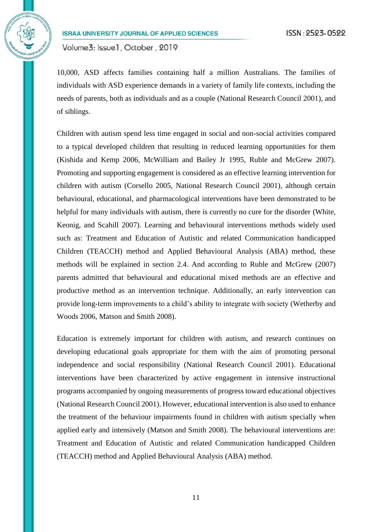Volume3: Issue1, October, 2019

10,000, ASD affects families containing half a million Australians. The families of individuals with ASD experience demands in a variety of family life contexts, including the needs of parents, both as individuals and as a couple (National Research Council 2001), and of siblings.

Children with autism spend less time engaged in social and non-social activities compared to a typical developed children that resulting in reduced learning opportunities for them (Kishida and Kemp 2006, McWilliam and Bailey Jr 1995, Ruble and McGrew 2007). Promoting and supporting engagement is considered as an effective learning intervention for children with autism (Corsello 2005, National Research Council 2001), although certain behavioural, educational, and pharmacological interventions have been demonstrated to be helpful for many individuals with autism, there is currently no cure for the disorder (White, Keonig, and Scahill 2007). Learning and behavioural interventions methods widely used such as: Treatment and Education of Autistic and related Communication handicapped Children (TEACCH) method and Applied Behavioural Analysis (ABA) method, these methods will be explained in section 2.4. And according to Ruble and McGrew (2007) parents admitted that behavioural and educational mixed methods are an effective and productive method as an intervention technique. Additionally, an early intervention can provide long-term improvements to a child's ability to integrate with society (Wetherby and Woods 2006, Matson and Smith 2008).

Education is extremely important for children with autism, and research continues on developing educational goals appropriate for them with the aim of promoting personal independence and social responsibility (National Research Council 2001). Educational interventions have been characterized by active engagement in intensive instructional programs accompanied by ongoing measurements of progress toward educational objectives (National Research Council 2001). However, educational intervention is also used to enhance the treatment of the behaviour impairments found in children with autism specially when applied early and intensively (Matson and Smith 2008). The behavioural interventions are: Treatment and Education of Autistic and related Communication handicapped Children (TEACCH) method and Applied Behavioural Analysis (ABA) method.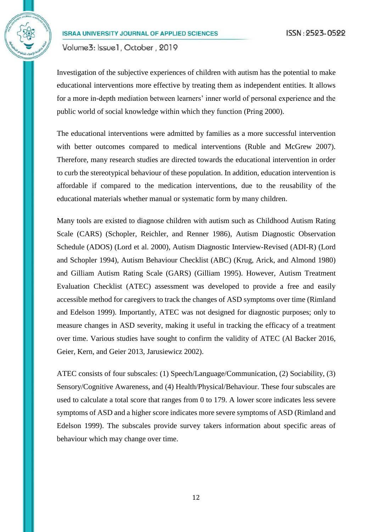Volume3: Issue1, October, 2019

Investigation of the subjective experiences of children with autism has the potential to make educational interventions more effective by treating them as independent entities. It allows for a more in-depth mediation between learners' inner world of personal experience and the public world of social knowledge within which they function (Pring 2000).

The educational interventions were admitted by families as a more successful intervention with better outcomes compared to medical interventions (Ruble and McGrew 2007). Therefore, many research studies are directed towards the educational intervention in order to curb the stereotypical behaviour of these population. In addition, education intervention is affordable if compared to the medication interventions, due to the reusability of the educational materials whether manual or systematic form by many children.

Many tools are existed to diagnose children with autism such as Childhood Autism Rating Scale (CARS) (Schopler, Reichler, and Renner 1986), Autism Diagnostic Observation Schedule (ADOS) (Lord et al. 2000), Autism Diagnostic Interview-Revised (ADI-R) (Lord and Schopler 1994), Autism Behaviour Checklist (ABC) (Krug, Arick, and Almond 1980) and Gilliam Autism Rating Scale (GARS) (Gilliam 1995). However, Autism Treatment Evaluation Checklist (ATEC) assessment was developed to provide a free and easily accessible method for caregivers to track the changes of ASD symptoms over time (Rimland and Edelson 1999). Importantly, ATEC was not designed for diagnostic purposes; only to measure changes in ASD severity, making it useful in tracking the efficacy of a treatment over time. Various studies have sought to confirm the validity of ATEC (Al Backer 2016, Geier, Kern, and Geier 2013, Jarusiewicz 2002).

ATEC consists of four subscales: (1) Speech/Language/Communication, (2) Sociability, (3) Sensory/Cognitive Awareness, and (4) Health/Physical/Behaviour. These four subscales are used to calculate a total score that ranges from 0 to 179. A lower score indicates less severe symptoms of ASD and a higher score indicates more severe symptoms of ASD (Rimland and Edelson 1999). The subscales provide survey takers information about specific areas of behaviour which may change over time.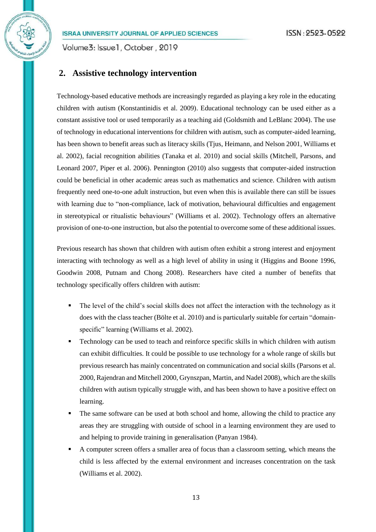Volume3: Issue1, October, 2019

# **2. Assistive technology intervention**

Technology-based educative methods are increasingly regarded as playing a key role in the educating children with autism (Konstantinidis et al. 2009). Educational technology can be used either as a constant assistive tool or used temporarily as a teaching aid (Goldsmith and LeBlanc 2004). The use of technology in educational interventions for children with autism, such as computer-aided learning, has been shown to benefit areas such as literacy skills (Tjus, Heimann, and Nelson 2001, Williams et al. 2002), facial recognition abilities (Tanaka et al. 2010) and social skills (Mitchell, Parsons, and Leonard 2007, Piper et al. 2006). Pennington (2010) also suggests that computer-aided instruction could be beneficial in other academic areas such as mathematics and science. Children with autism frequently need one-to-one adult instruction, but even when this is available there can still be issues with learning due to "non-compliance, lack of motivation, behavioural difficulties and engagement in stereotypical or ritualistic behaviours" (Williams et al. 2002). Technology offers an alternative provision of one-to-one instruction, but also the potential to overcome some of these additional issues.

Previous research has shown that children with autism often exhibit a strong interest and enjoyment interacting with technology as well as a high level of ability in using it (Higgins and Boone 1996, Goodwin 2008, Putnam and Chong 2008). Researchers have cited a number of benefits that technology specifically offers children with autism:

- The level of the child's social skills does not affect the interaction with the technology as it does with the class teacher (Bölte et al. 2010) and is particularly suitable for certain "domainspecific" learning (Williams et al. 2002).
- Technology can be used to teach and reinforce specific skills in which children with autism can exhibit difficulties. It could be possible to use technology for a whole range of skills but previous research has mainly concentrated on communication and social skills (Parsons et al. 2000, Rajendran and Mitchell 2000, Grynszpan, Martin, and Nadel 2008), which are the skills children with autism typically struggle with, and has been shown to have a positive effect on learning.
- The same software can be used at both school and home, allowing the child to practice any areas they are struggling with outside of school in a learning environment they are used to and helping to provide training in generalisation (Panyan 1984).
- A computer screen offers a smaller area of focus than a classroom setting, which means the child is less affected by the external environment and increases concentration on the task (Williams et al. 2002).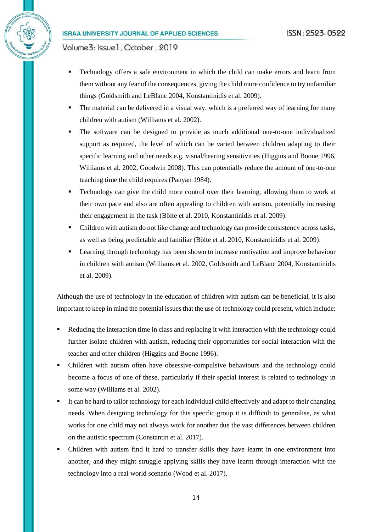Volume3: Issue1, October, 2019

- Technology offers a safe environment in which the child can make errors and learn from them without any fear of the consequences, giving the child more confidence to try unfamiliar things (Goldsmith and LeBlanc 2004, Konstantinidis et al. 2009).
- The material can be delivered in a visual way, which is a preferred way of learning for many children with autism (Williams et al. 2002).
- The software can be designed to provide as much additional one-to-one individualized support as required, the level of which can be varied between children adapting to their specific learning and other needs e.g. visual/hearing sensitivities (Higgins and Boone 1996, Williams et al. 2002, Goodwin 2008). This can potentially reduce the amount of one-to-one teaching time the child requires (Panyan 1984).
- Technology can give the child more control over their learning, allowing them to work at their own pace and also are often appealing to children with autism, potentially increasing their engagement in the task (Bölte et al. 2010, Konstantinidis et al. 2009).
- Children with autism do not like change and technology can provide consistency across tasks, as well as being predictable and familiar (Bölte et al. 2010, Konstantinidis et al. 2009).
- Learning through technology has been shown to increase motivation and improve behaviour in children with autism (Williams et al. 2002, Goldsmith and LeBlanc 2004, Konstantinidis et al. 2009).

Although the use of technology in the education of children with autism can be beneficial, it is also important to keep in mind the potential issues that the use of technology could present, which include:

- Reducing the interaction time in class and replacing it with interaction with the technology could further isolate children with autism, reducing their opportunities for social interaction with the teacher and other children (Higgins and Boone 1996).
- Children with autism often have obsessive-compulsive behaviours and the technology could become a focus of one of these, particularly if their special interest is related to technology in some way (Williams et al. 2002).
- It can be hard to tailor technology for each individual child effectively and adapt to their changing needs. When designing technology for this specific group it is difficult to generalise, as what works for one child may not always work for another due the vast differences between children on the autistic spectrum (Constantin et al. 2017).
- Children with autism find it hard to transfer skills they have learnt in one environment into another, and they might struggle applying skills they have learnt through interaction with the technology into a real world scenario (Wood et al. 2017).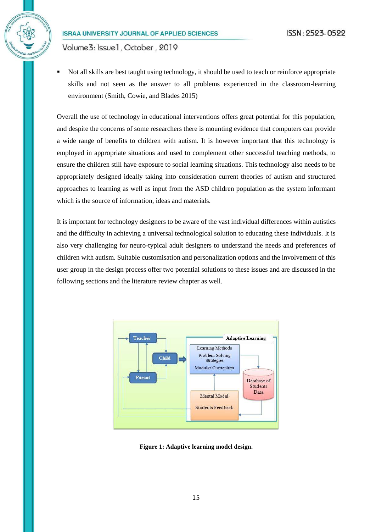Volume3: Issue1, October, 2019

 Not all skills are best taught using technology, it should be used to teach or reinforce appropriate skills and not seen as the answer to all problems experienced in the classroom-learning environment (Smith, Cowie, and Blades 2015)

Overall the use of technology in educational interventions offers great potential for this population, and despite the concerns of some researchers there is mounting evidence that computers can provide a wide range of benefits to children with autism. It is however important that this technology is employed in appropriate situations and used to complement other successful teaching methods, to ensure the children still have exposure to social learning situations. This technology also needs to be appropriately designed ideally taking into consideration current theories of autism and structured approaches to learning as well as input from the ASD children population as the system informant which is the source of information, ideas and materials.

It is important for technology designers to be aware of the vast individual differences within autistics and the difficulty in achieving a universal technological solution to educating these individuals. It is also very challenging for neuro-typical adult designers to understand the needs and preferences of children with autism. Suitable customisation and personalization options and the involvement of this user group in the design process offer two potential solutions to these issues and are discussed in the following sections and the literature review chapter as well.



**Figure 1: Adaptive learning model design.**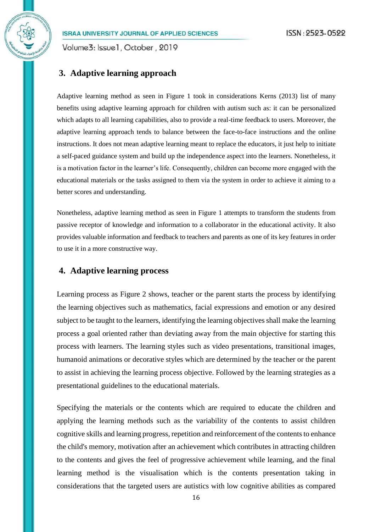Volume3: Issue1, October, 2019

# **3. Adaptive learning approach**

Adaptive learning method as seen in Figure 1 took in considerations Kerns (2013) list of many benefits using adaptive learning approach for children with autism such as: it can be personalized which adapts to all learning capabilities, also to provide a real-time feedback to users. Moreover, the adaptive learning approach tends to balance between the face-to-face instructions and the online instructions. It does not mean adaptive learning meant to replace the educators, it just help to initiate a self-paced guidance system and build up the independence aspect into the learners. Nonetheless, it is a motivation factor in the learner's life. Consequently, children can become more engaged with the educational materials or the tasks assigned to them via the system in order to achieve it aiming to a better scores and understanding.

Nonetheless, adaptive learning method as seen in Figure 1 attempts to transform the students from passive receptor of knowledge and information to a collaborator in the educational activity. It also provides valuable information and feedback to teachers and parents as one of its key features in order to use it in a more constructive way.

# **4. Adaptive learning process**

Learning process as Figure 2 shows, teacher or the parent starts the process by identifying the learning objectives such as mathematics, facial expressions and emotion or any desired subject to be taught to the learners, identifying the learning objectives shall make the learning process a goal oriented rather than deviating away from the main objective for starting this process with learners. The learning styles such as video presentations, transitional images, humanoid animations or decorative styles which are determined by the teacher or the parent to assist in achieving the learning process objective. Followed by the learning strategies as a presentational guidelines to the educational materials.

Specifying the materials or the contents which are required to educate the children and applying the learning methods such as the variability of the contents to assist children cognitive skills and learning progress, repetition and reinforcement of the contents to enhance the child's memory, motivation after an achievement which contributes in attracting children to the contents and gives the feel of progressive achievement while learning, and the final learning method is the visualisation which is the contents presentation taking in considerations that the targeted users are autistics with low cognitive abilities as compared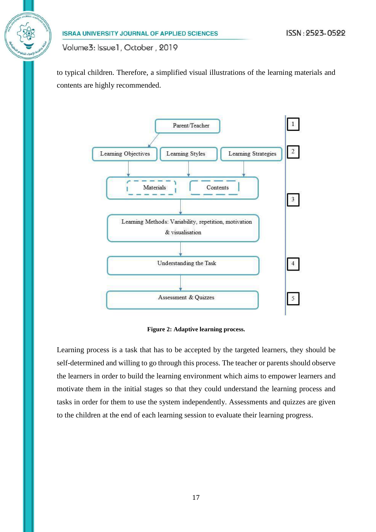to typical children. Therefore, a simplified visual illustrations of the learning materials and contents are highly recommended.



**Figure 2: Adaptive learning process.**

Learning process is a task that has to be accepted by the targeted learners, they should be self-determined and willing to go through this process. The teacher or parents should observe the learners in order to build the learning environment which aims to empower learners and motivate them in the initial stages so that they could understand the learning process and tasks in order for them to use the system independently. Assessments and quizzes are given to the children at the end of each learning session to evaluate their learning progress.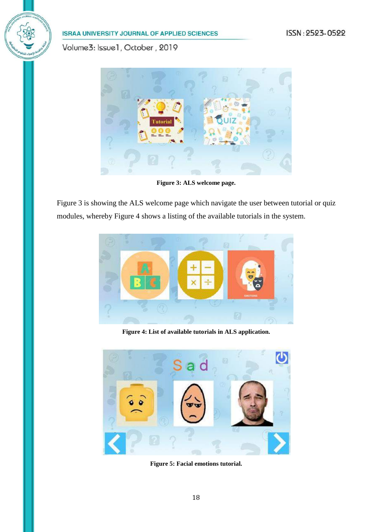# ISSN: 2523-0522

# **ISRAA UNIVERSITY JOURNAL OF APPLIED SCIENCES**

Volume3: Issue1, October, 2019



**Figure 3: ALS welcome page.**

Figure 3 is showing the ALS welcome page which navigate the user between tutorial or quiz modules, whereby Figure 4 shows a listing of the available tutorials in the system.



**Figure 4: List of available tutorials in ALS application.**



**Figure 5: Facial emotions tutorial.**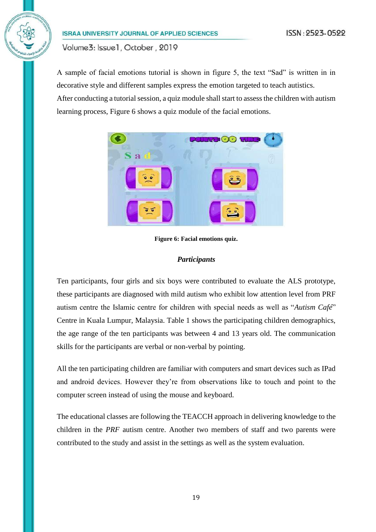Volume3: Issue1, October, 2019

A sample of facial emotions tutorial is shown in figure 5, the text "Sad" is written in in decorative style and different samples express the emotion targeted to teach autistics. After conducting a tutorial session, a quiz module shall start to assess the children with autism learning process, Figure 6 shows a quiz module of the facial emotions.



**Figure 6: Facial emotions quiz.**

## *Participants*

Ten participants, four girls and six boys were contributed to evaluate the ALS prototype, these participants are diagnosed with mild autism who exhibit low attention level from PRF autism centre the Islamic centre for children with special needs as well as "*Autism Café*" Centre in Kuala Lumpur, Malaysia. Table 1 shows the participating children demographics, the age range of the ten participants was between 4 and 13 years old. The communication skills for the participants are verbal or non-verbal by pointing.

All the ten participating children are familiar with computers and smart devices such as IPad and android devices. However they're from observations like to touch and point to the computer screen instead of using the mouse and keyboard.

The educational classes are following the TEACCH approach in delivering knowledge to the children in the *PRF* autism centre. Another two members of staff and two parents were contributed to the study and assist in the settings as well as the system evaluation.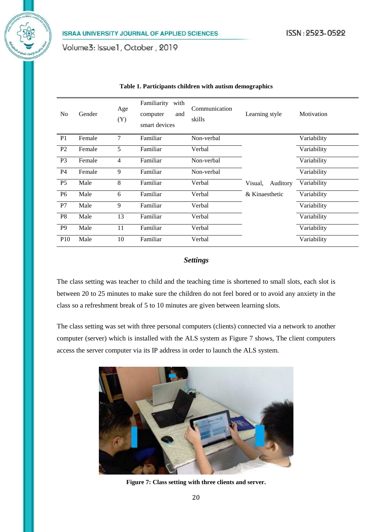| N <sub>0</sub>  | Gender | Age<br>(Y) | Familiarity<br>with<br>and<br>computer<br>smart devices | Communication<br>skills | Learning style      | Motivation  |
|-----------------|--------|------------|---------------------------------------------------------|-------------------------|---------------------|-------------|
| P <sub>1</sub>  | Female | 7          | Familiar                                                | Non-verbal              |                     | Variability |
| P <sub>2</sub>  | Female | 5          | Familiar                                                | Verbal                  |                     | Variability |
| P <sub>3</sub>  | Female | 4          | Familiar                                                | Non-verbal              |                     | Variability |
| <b>P4</b>       | Female | 9          | Familiar                                                | Non-verbal              |                     | Variability |
| <b>P5</b>       | Male   | 8          | Familiar                                                | Verbal                  | Visual,<br>Auditory | Variability |
| <b>P6</b>       | Male   | 6          | Familiar                                                | Verbal                  | & Kinaesthetic      | Variability |
| P7              | Male   | 9          | Familiar                                                | Verbal                  |                     | Variability |
| P <sub>8</sub>  | Male   | 13         | Familiar                                                | Verbal                  |                     | Variability |
| P <sub>9</sub>  | Male   | 11         | Familiar                                                | Verbal                  |                     | Variability |
| P <sub>10</sub> | Male   | 10         | Familiar                                                | Verbal                  |                     | Variability |

#### **Table 1. Participants children with autism demographics**

#### *Settings*

The class setting was teacher to child and the teaching time is shortened to small slots, each slot is between 20 to 25 minutes to make sure the children do not feel bored or to avoid any anxiety in the class so a refreshment break of 5 to 10 minutes are given between learning slots.

The class setting was set with three personal computers (clients) connected via a network to another computer (server) which is installed with the ALS system as Figure 7 shows, The client computers access the server computer via its IP address in order to launch the ALS system.



**Figure 7: Class setting with three clients and server.**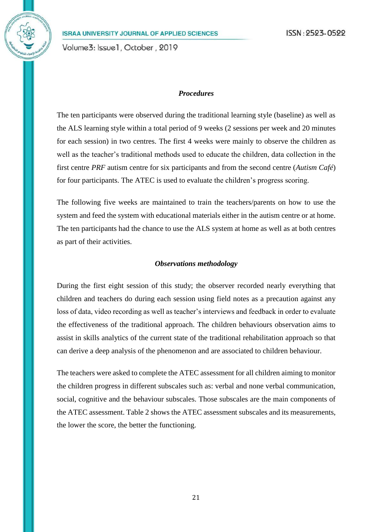Volume3: Issue1, October, 2019

## *Procedures*

The ten participants were observed during the traditional learning style (baseline) as well as the ALS learning style within a total period of 9 weeks (2 sessions per week and 20 minutes for each session) in two centres. The first 4 weeks were mainly to observe the children as well as the teacher's traditional methods used to educate the children, data collection in the first centre *PRF* autism centre for six participants and from the second centre (*Autism Café*) for four participants. The ATEC is used to evaluate the children's progress scoring.

The following five weeks are maintained to train the teachers/parents on how to use the system and feed the system with educational materials either in the autism centre or at home. The ten participants had the chance to use the ALS system at home as well as at both centres as part of their activities.

#### *Observations methodology*

During the first eight session of this study; the observer recorded nearly everything that children and teachers do during each session using field notes as a precaution against any loss of data, video recording as well as teacher's interviews and feedback in order to evaluate the effectiveness of the traditional approach. The children behaviours observation aims to assist in skills analytics of the current state of the traditional rehabilitation approach so that can derive a deep analysis of the phenomenon and are associated to children behaviour.

The teachers were asked to complete the ATEC assessment for all children aiming to monitor the children progress in different subscales such as: verbal and none verbal communication, social, cognitive and the behaviour subscales. Those subscales are the main components of the ATEC assessment. Table 2 shows the ATEC assessment subscales and its measurements, the lower the score, the better the functioning.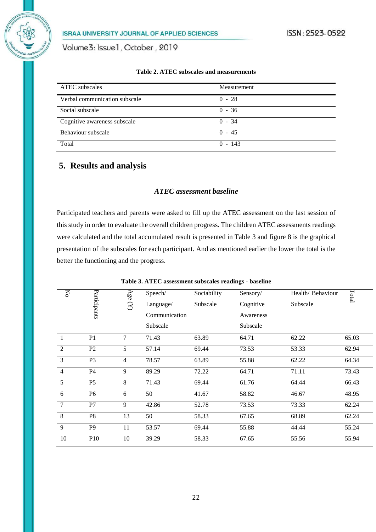Volume3: Issue1, October, 2019

|  |  | Table 2. ATEC subscales and measurements |
|--|--|------------------------------------------|
|--|--|------------------------------------------|

| <b>ATEC</b> subscales         | Measurement |
|-------------------------------|-------------|
| Verbal communication subscale | $0 - 28$    |
| Social subscale               | $0 - 36$    |
| Cognitive awareness subscale  | $0 - 34$    |
| Behaviour subscale            | $0 - 45$    |
| Total                         | $0 - 143$   |

# **5. Results and analysis**

# *ATEC assessment baseline*

Participated teachers and parents were asked to fill up the ATEC assessment on the last session of this study in order to evaluate the overall children progress. The children ATEC assessments readings were calculated and the total accumulated result is presented in Table 3 and figure 8 is the graphical presentation of the subscales for each participant. And as mentioned earlier the lower the total is the better the functioning and the progress.

| δ              |                | Age            | Speech/       | Sociability | Sensory/  | Health/ Behaviour | Total |
|----------------|----------------|----------------|---------------|-------------|-----------|-------------------|-------|
|                | Participants   | $\mathcal{B}$  | Language/     | Subscale    | Cognitive | Subscale          |       |
|                |                |                | Communication |             | Awareness |                   |       |
|                |                |                | Subscale      |             | Subscale  |                   |       |
| $\overline{1}$ | P <sub>1</sub> | 7              | 71.43         | 63.89       | 64.71     | 62.22             | 65.03 |
| $\overline{2}$ | P2             | 5              | 57.14         | 69.44       | 73.53     | 53.33             | 62.94 |
| 3              | P <sub>3</sub> | $\overline{4}$ | 78.57         | 63.89       | 55.88     | 62.22             | 64.34 |
| $\overline{4}$ | P4             | 9              | 89.29         | 72.22       | 64.71     | 71.11             | 73.43 |
| 5              | P <sub>5</sub> | 8              | 71.43         | 69.44       | 61.76     | 64.44             | 66.43 |
| 6              | P6             | 6              | 50            | 41.67       | 58.82     | 46.67             | 48.95 |
| $\tau$         | P7             | 9              | 42.86         | 52.78       | 73.53     | 73.33             | 62.24 |
| 8              | P <sub>8</sub> | 13             | 50            | 58.33       | 67.65     | 68.89             | 62.24 |
| $\overline{9}$ | P <sub>9</sub> | 11             | 53.57         | 69.44       | 55.88     | 44.44             | 55.24 |
| 10             | <b>P10</b>     | 10             | 39.29         | 58.33       | 67.65     | 55.56             | 55.94 |

**Table 3. ATEC assessment subscales readings - baseline**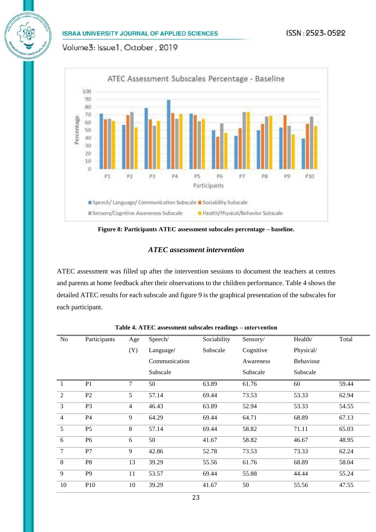Volume3: Issue1, October, 2019



**Figure 8: Participants ATEC assessment subscales percentage – baseline.**

## *ATEC assessment intervention*

ATEC assessment was filled up after the intervention sessions to document the teachers at centres and parents at home feedback after their observations to the children performance. Table 4 shows the detailed ATEC results for each subscale and figure 9 is the graphical presentation of the subscales for each participant.

| N <sub>o</sub> | Participants   | Age            | Speech/       | Sociability | Sensory/  | Health/          | Total |
|----------------|----------------|----------------|---------------|-------------|-----------|------------------|-------|
|                |                | (Y)            | Language/     | Subscale    | Cognitive | Physical/        |       |
|                |                |                | Communication |             | Awareness | <b>Behaviour</b> |       |
|                |                |                | Subscale      |             | Subscale  | Subscale         |       |
| 1              | P <sub>1</sub> | 7              | 50            | 63.89       | 61.76     | 60               | 59.44 |
| $\overline{2}$ | P2             | 5              | 57.14         | 69.44       | 73.53     | 53.33            | 62.94 |
| 3              | P <sub>3</sub> | $\overline{4}$ | 46.43         | 63.89       | 52.94     | 53.33            | 54.55 |
| $\overline{4}$ | P <sub>4</sub> | 9              | 64.29         | 69.44       | 64.71     | 68.89            | 67.13 |
| 5              | P <sub>5</sub> | 8              | 57.14         | 69.44       | 58.82     | 71.11            | 65.03 |
| 6              | P <sub>6</sub> | 6              | 50            | 41.67       | 58.82     | 46.67            | 48.95 |
| 7              | P7             | 9              | 42.86         | 52.78       | 73.53     | 73.33            | 62.24 |
| 8              | ${\bf P8}$     | 13             | 39.29         | 55.56       | 61.76     | 68.89            | 58.04 |
| 9              | P <sub>9</sub> | 11             | 53.57         | 69.44       | 55.88     | 44.44            | 55.24 |
| 10             | P10            | 10             | 39.29         | 41.67       | 50        | 55.56            | 47.55 |

**Table 4. ATEC assessment subscales readings – ıntervention**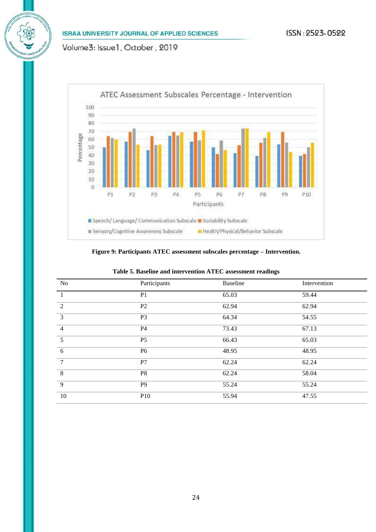Volume3: Issue1, October, 2019



#### **Figure 9: Participants ATEC assessment subscales percentage – Intervention.**

| N <sub>o</sub> | Participants   | <b>Baseline</b> | Intervention |
|----------------|----------------|-----------------|--------------|
| $\mathbf{1}$   | P <sub>1</sub> | 65.03           | 59.44        |
| 2              | P <sub>2</sub> | 62.94           | 62.94        |
| 3              | P <sub>3</sub> | 64.34           | 54.55        |
| $\overline{4}$ | P4             | 73.43           | 67.13        |
| 5              | P <sub>5</sub> | 66.43           | 65.03        |
| 6              | P <sub>6</sub> | 48.95           | 48.95        |
| $\overline{7}$ | P7             | 62.24           | 62.24        |
| 8              | P <sub>8</sub> | 62.24           | 58.04        |
| 9              | P <sub>9</sub> | 55.24           | 55.24        |
| 10             | P10            | 55.94           | 47.55        |

#### **Table 5. Baseline and intervention ATEC assessment readings**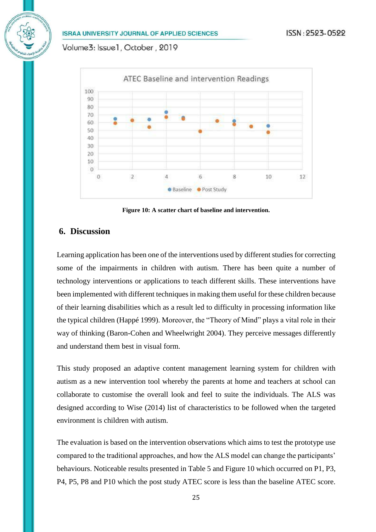Volume3: Issue1, October, 2019



**Figure 10: A scatter chart of baseline and intervention.**

# **6. Discussion**

Learning application has been one of the interventions used by different studies for correcting some of the impairments in children with autism. There has been quite a number of technology interventions or applications to teach different skills. These interventions have been implemented with different techniques in making them useful for these children because of their learning disabilities which as a result led to difficulty in processing information like the typical children (Happé 1999). Moreover, the "Theory of Mind" plays a vital role in their way of thinking (Baron-Cohen and Wheelwright 2004). They perceive messages differently and understand them best in visual form.

This study proposed an adaptive content management learning system for children with autism as a new intervention tool whereby the parents at home and teachers at school can collaborate to customise the overall look and feel to suite the individuals. The ALS was designed according to Wise (2014) list of characteristics to be followed when the targeted environment is children with autism.

The evaluation is based on the intervention observations which aims to test the prototype use compared to the traditional approaches, and how the ALS model can change the participants' behaviours. Noticeable results presented in Table 5 and Figure 10 which occurred on P1, P3, P4, P5, P8 and P10 which the post study ATEC score is less than the baseline ATEC score.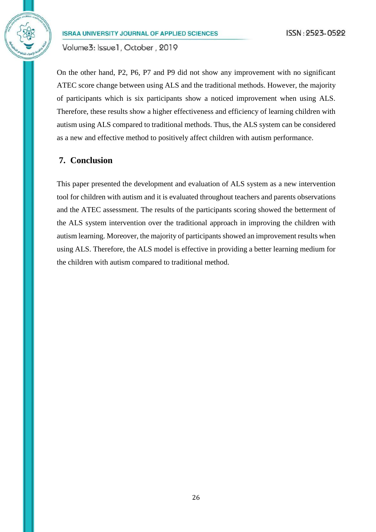Volume3: Issue1, October, 2019

On the other hand, P2, P6, P7 and P9 did not show any improvement with no significant ATEC score change between using ALS and the traditional methods. However, the majority of participants which is six participants show a noticed improvement when using ALS. Therefore, these results show a higher effectiveness and efficiency of learning children with autism using ALS compared to traditional methods. Thus, the ALS system can be considered as a new and effective method to positively affect children with autism performance.

# **7. Conclusion**

This paper presented the development and evaluation of ALS system as a new intervention tool for children with autism and it is evaluated throughout teachers and parents observations and the ATEC assessment. The results of the participants scoring showed the betterment of the ALS system intervention over the traditional approach in improving the children with autism learning. Moreover, the majority of participants showed an improvement results when using ALS. Therefore, the ALS model is effective in providing a better learning medium for the children with autism compared to traditional method.

26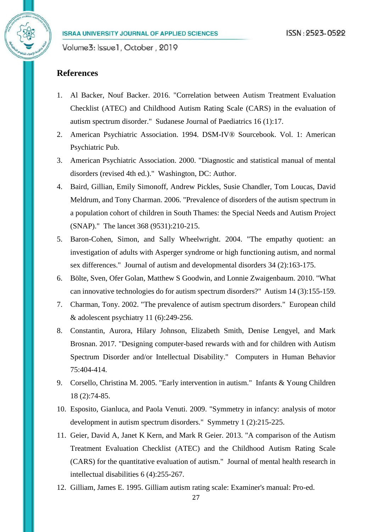# **References**

- 1. Al Backer, Nouf Backer. 2016. "Correlation between Autism Treatment Evaluation Checklist (ATEC) and Childhood Autism Rating Scale (CARS) in the evaluation of autism spectrum disorder." Sudanese Journal of Paediatrics 16 (1):17.
- 2. American Psychiatric Association. 1994. DSM-IV® Sourcebook. Vol. 1: American Psychiatric Pub.
- 3. American Psychiatric Association. 2000. "Diagnostic and statistical manual of mental disorders (revised 4th ed.)." Washington, DC: Author.
- 4. Baird, Gillian, Emily Simonoff, Andrew Pickles, Susie Chandler, Tom Loucas, David Meldrum, and Tony Charman. 2006. "Prevalence of disorders of the autism spectrum in a population cohort of children in South Thames: the Special Needs and Autism Project (SNAP)." The lancet 368 (9531):210-215.
- 5. Baron-Cohen, Simon, and Sally Wheelwright. 2004. "The empathy quotient: an investigation of adults with Asperger syndrome or high functioning autism, and normal sex differences." Journal of autism and developmental disorders 34 (2):163-175.
- 6. Bölte, Sven, Ofer Golan, Matthew S Goodwin, and Lonnie Zwaigenbaum. 2010. "What can innovative technologies do for autism spectrum disorders?" Autism 14 (3):155-159.
- 7. Charman, Tony. 2002. "The prevalence of autism spectrum disorders." European child  $&$  adolescent psychiatry 11 (6):249-256.
- 8. Constantin, Aurora, Hilary Johnson, Elizabeth Smith, Denise Lengyel, and Mark Brosnan. 2017. "Designing computer-based rewards with and for children with Autism Spectrum Disorder and/or Intellectual Disability." Computers in Human Behavior 75:404-414.
- 9. Corsello, Christina M. 2005. "Early intervention in autism." Infants & Young Children 18 (2):74-85.
- 10. Esposito, Gianluca, and Paola Venuti. 2009. "Symmetry in infancy: analysis of motor development in autism spectrum disorders." Symmetry 1 (2):215-225.
- 11. Geier, David A, Janet K Kern, and Mark R Geier. 2013. "A comparison of the Autism Treatment Evaluation Checklist (ATEC) and the Childhood Autism Rating Scale (CARS) for the quantitative evaluation of autism." Journal of mental health research in intellectual disabilities 6 (4):255-267.
- 12. Gilliam, James E. 1995. Gilliam autism rating scale: Examiner's manual: Pro-ed.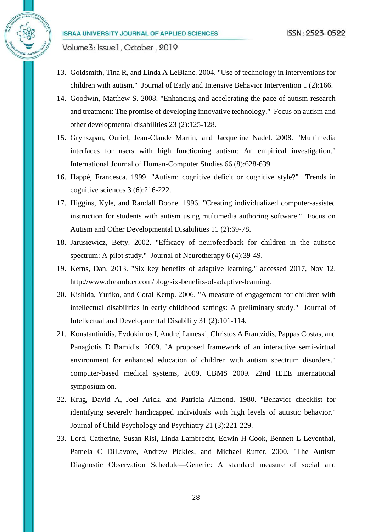Volume3: Issue1, October, 2019

- 13. Goldsmith, Tina R, and Linda A LeBlanc. 2004. "Use of technology in interventions for children with autism." Journal of Early and Intensive Behavior Intervention 1 (2):166.
- 14. Goodwin, Matthew S. 2008. "Enhancing and accelerating the pace of autism research and treatment: The promise of developing innovative technology." Focus on autism and other developmental disabilities 23 (2):125-128.
- 15. Grynszpan, Ouriel, Jean-Claude Martin, and Jacqueline Nadel. 2008. "Multimedia interfaces for users with high functioning autism: An empirical investigation." International Journal of Human-Computer Studies 66 (8):628-639.
- 16. Happé, Francesca. 1999. "Autism: cognitive deficit or cognitive style?" Trends in cognitive sciences 3 (6):216-222.
- 17. Higgins, Kyle, and Randall Boone. 1996. "Creating individualized computer-assisted instruction for students with autism using multimedia authoring software." Focus on Autism and Other Developmental Disabilities 11 (2):69-78.
- 18. Jarusiewicz, Betty. 2002. "Efficacy of neurofeedback for children in the autistic spectrum: A pilot study." Journal of Neurotherapy 6 (4):39-49.
- 19. Kerns, Dan. 2013. "Six key benefits of adaptive learning." accessed 2017, Nov 12. http://www.dreambox.com/blog/six-benefits-of-adaptive-learning.
- 20. Kishida, Yuriko, and Coral Kemp. 2006. "A measure of engagement for children with intellectual disabilities in early childhood settings: A preliminary study." Journal of Intellectual and Developmental Disability 31 (2):101-114.
- 21. Konstantinidis, Evdokimos I, Andrej Luneski, Christos A Frantzidis, Pappas Costas, and Panagiotis D Bamidis. 2009. "A proposed framework of an interactive semi-virtual environment for enhanced education of children with autism spectrum disorders." computer-based medical systems, 2009. CBMS 2009. 22nd IEEE international symposium on.
- 22. Krug, David A, Joel Arick, and Patricia Almond. 1980. "Behavior checklist for identifying severely handicapped individuals with high levels of autistic behavior." Journal of Child Psychology and Psychiatry 21 (3):221-229.
- 23. Lord, Catherine, Susan Risi, Linda Lambrecht, Edwin H Cook, Bennett L Leventhal, Pamela C DiLavore, Andrew Pickles, and Michael Rutter. 2000. "The Autism Diagnostic Observation Schedule—Generic: A standard measure of social and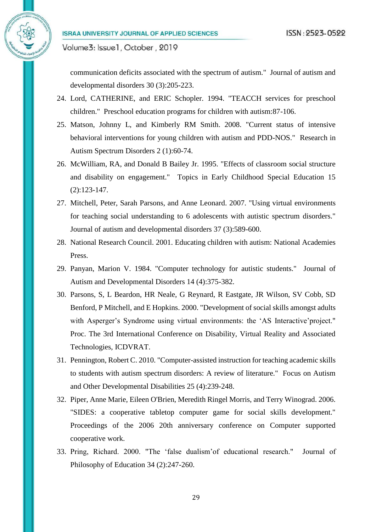communication deficits associated with the spectrum of autism." Journal of autism and developmental disorders 30 (3):205-223.

- 24. Lord, CATHERINE, and ERIC Schopler. 1994. "TEACCH services for preschool children." Preschool education programs for children with autism:87-106.
- 25. Matson, Johnny L, and Kimberly RM Smith. 2008. "Current status of intensive behavioral interventions for young children with autism and PDD-NOS." Research in Autism Spectrum Disorders 2 (1):60-74.
- 26. McWilliam, RA, and Donald B Bailey Jr. 1995. "Effects of classroom social structure and disability on engagement." Topics in Early Childhood Special Education 15 (2):123-147.
- 27. Mitchell, Peter, Sarah Parsons, and Anne Leonard. 2007. "Using virtual environments for teaching social understanding to 6 adolescents with autistic spectrum disorders." Journal of autism and developmental disorders 37 (3):589-600.
- 28. National Research Council. 2001. Educating children with autism: National Academies Press.
- 29. Panyan, Marion V. 1984. "Computer technology for autistic students." Journal of Autism and Developmental Disorders 14 (4):375-382.
- 30. Parsons, S, L Beardon, HR Neale, G Reynard, R Eastgate, JR Wilson, SV Cobb, SD Benford, P Mitchell, and E Hopkins. 2000. "Development of social skills amongst adults with Asperger's Syndrome using virtual environments: the 'AS Interactive'project." Proc. The 3rd International Conference on Disability, Virtual Reality and Associated Technologies, ICDVRAT.
- 31. Pennington, Robert C. 2010. "Computer-assisted instruction for teaching academic skills to students with autism spectrum disorders: A review of literature." Focus on Autism and Other Developmental Disabilities 25 (4):239-248.
- 32. Piper, Anne Marie, Eileen O'Brien, Meredith Ringel Morris, and Terry Winograd. 2006. "SIDES: a cooperative tabletop computer game for social skills development." Proceedings of the 2006 20th anniversary conference on Computer supported cooperative work.
- 33. Pring, Richard. 2000. "The 'false dualism'of educational research." Journal of Philosophy of Education 34 (2):247-260.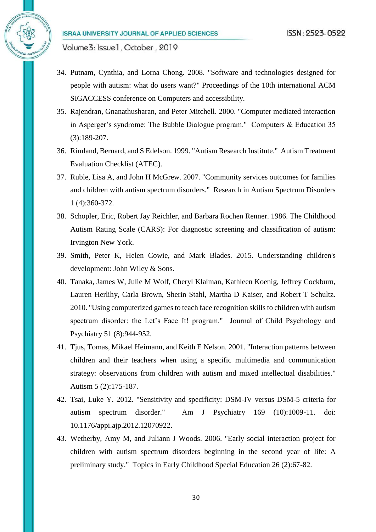- 34. Putnam, Cynthia, and Lorna Chong. 2008. "Software and technologies designed for people with autism: what do users want?" Proceedings of the 10th international ACM SIGACCESS conference on Computers and accessibility.
- 35. Rajendran, Gnanathusharan, and Peter Mitchell. 2000. "Computer mediated interaction in Asperger's syndrome: The Bubble Dialogue program." Computers & Education 35 (3):189-207.
- 36. Rimland, Bernard, and S Edelson. 1999. "Autism Research Institute." Autism Treatment Evaluation Checklist (ATEC).
- 37. Ruble, Lisa A, and John H McGrew. 2007. "Community services outcomes for families and children with autism spectrum disorders." Research in Autism Spectrum Disorders 1 (4):360-372.
- 38. Schopler, Eric, Robert Jay Reichler, and Barbara Rochen Renner. 1986. The Childhood Autism Rating Scale (CARS): For diagnostic screening and classification of autism: Irvington New York.
- 39. Smith, Peter K, Helen Cowie, and Mark Blades. 2015. Understanding children's development: John Wiley & Sons.
- 40. Tanaka, James W, Julie M Wolf, Cheryl Klaiman, Kathleen Koenig, Jeffrey Cockburn, Lauren Herlihy, Carla Brown, Sherin Stahl, Martha D Kaiser, and Robert T Schultz. 2010. "Using computerized games to teach face recognition skills to children with autism spectrum disorder: the Let's Face It! program." Journal of Child Psychology and Psychiatry 51 (8):944-952.
- 41. Tjus, Tomas, Mikael Heimann, and Keith E Nelson. 2001. "Interaction patterns between children and their teachers when using a specific multimedia and communication strategy: observations from children with autism and mixed intellectual disabilities." Autism 5 (2):175-187.
- 42. Tsai, Luke Y. 2012. "Sensitivity and specificity: DSM-IV versus DSM-5 criteria for autism spectrum disorder." Am J Psychiatry 169 (10):1009-11. doi: 10.1176/appi.ajp.2012.12070922.
- 43. Wetherby, Amy M, and Juliann J Woods. 2006. "Early social interaction project for children with autism spectrum disorders beginning in the second year of life: A preliminary study." Topics in Early Childhood Special Education 26 (2):67-82.